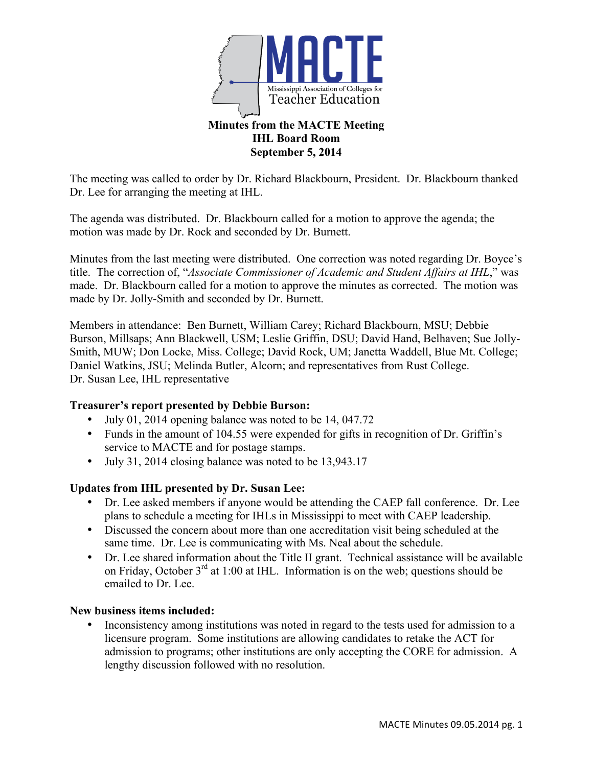

# **Minutes from the MACTE Meeting IHL Board Room September 5, 2014**

The meeting was called to order by Dr. Richard Blackbourn, President. Dr. Blackbourn thanked Dr. Lee for arranging the meeting at IHL.

The agenda was distributed. Dr. Blackbourn called for a motion to approve the agenda; the motion was made by Dr. Rock and seconded by Dr. Burnett.

Minutes from the last meeting were distributed. One correction was noted regarding Dr. Boyce's title. The correction of, "*Associate Commissioner of Academic and Student Affairs at IHL*," was made. Dr. Blackbourn called for a motion to approve the minutes as corrected. The motion was made by Dr. Jolly-Smith and seconded by Dr. Burnett.

Members in attendance: Ben Burnett, William Carey; Richard Blackbourn, MSU; Debbie Burson, Millsaps; Ann Blackwell, USM; Leslie Griffin, DSU; David Hand, Belhaven; Sue Jolly-Smith, MUW; Don Locke, Miss. College; David Rock, UM; Janetta Waddell, Blue Mt. College; Daniel Watkins, JSU; Melinda Butler, Alcorn; and representatives from Rust College. Dr. Susan Lee, IHL representative

# **Treasurer's report presented by Debbie Burson:**

- July 01, 2014 opening balance was noted to be 14, 047.72
- Funds in the amount of 104.55 were expended for gifts in recognition of Dr. Griffin's service to MACTE and for postage stamps.
- July 31, 2014 closing balance was noted to be 13,943.17

# **Updates from IHL presented by Dr. Susan Lee:**

- Dr. Lee asked members if anyone would be attending the CAEP fall conference. Dr. Lee plans to schedule a meeting for IHLs in Mississippi to meet with CAEP leadership.
- Discussed the concern about more than one accreditation visit being scheduled at the same time. Dr. Lee is communicating with Ms. Neal about the schedule.
- Dr. Lee shared information about the Title II grant. Technical assistance will be available on Friday, October  $3<sup>rd</sup>$  at 1:00 at IHL. Information is on the web; questions should be emailed to Dr. Lee.

# **New business items included:**

• Inconsistency among institutions was noted in regard to the tests used for admission to a licensure program. Some institutions are allowing candidates to retake the ACT for admission to programs; other institutions are only accepting the CORE for admission. A lengthy discussion followed with no resolution.